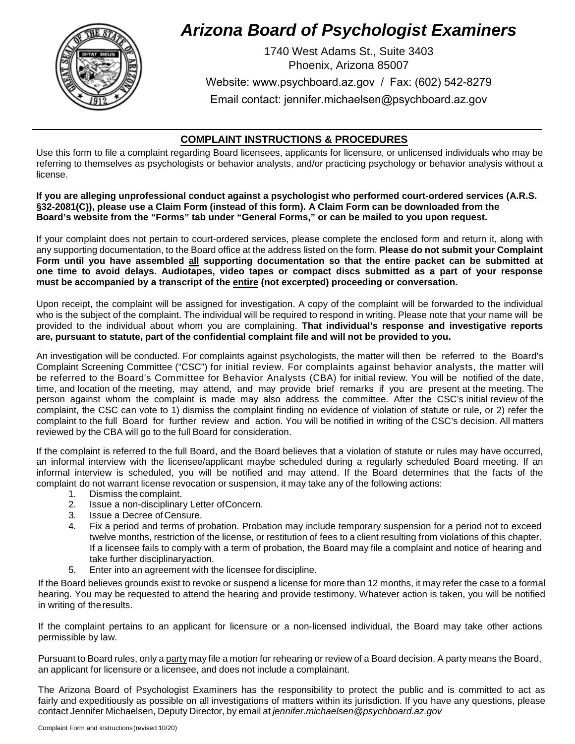

# *Arizona Board of Psychologist Examiners*

1740 West Adams St., Suite 3403 Phoenix, Arizona 85007

Website: www.psychboard.az.gov / Fax: (602) 542-8279

Email contact: jennifer.michaelsen@psychboard.az.gov

## **COMPLAINT INSTRUCTIONS & PROCEDURES**

Use this form to file a complaint regarding Board licensees, applicants for licensure, or unlicensed individuals who may be referring to themselves as psychologists or behavior analysts, and/or practicing psychology or behavior analysis without a license.

**If you are alleging unprofessional conduct against a psychologist who performed court-ordered services (A.R.S. §32-2081(C)), please use a Claim Form (instead of this form). A Claim Form can be downloaded from the Board's website from the "Forms" tab under "General Forms," or can be mailed to you upon request.**

If your complaint does not pertain to court-ordered services, please complete the enclosed form and return it, along with any supporting documentation, to the Board office at the address listed on the form. **Please do not submit your Complaint Form until you have assembled all supporting documentation so that the entire packet can be submitted at one time to avoid delays. Audiotapes, video tapes or compact discs submitted as a part of your response must be accompanied by a transcript of the entire (not excerpted) proceeding or conversation.**

Upon receipt, the complaint will be assigned for investigation. A copy of the complaint will be forwarded to the individual who is the subject of the complaint. The individual will be required to respond in writing. Please note that your name will be provided to the individual about whom you are complaining. **That individual's response and investigative reports are, pursuant to statute, part of the confidential complaint file and will not be provided to you.**

An investigation will be conducted. For complaints against psychologists, the matter will then be referred to the Board's Complaint Screening Committee ("CSC") for initial review. For complaints against behavior analysts, the matter will be referred to the Board's Committee for Behavior Analysts (CBA) for initial review. You will be notified of the date, time, and location of the meeting, may attend, and may provide brief remarks if you are present at the meeting. The person against whom the complaint is made may also address the committee. After the CSC's initial review of the complaint, the CSC can vote to 1) dismiss the complaint finding no evidence of violation of statute or rule, or 2) refer the complaint to the full Board for further review and action. You will be notified in writing of the CSC's decision. All matters reviewed by the CBA will go to the full Board for consideration.

If the complaint is referred to the full Board, and the Board believes that a violation of statute or rules may have occurred, an informal interview with the licensee/applicant maybe scheduled during a regularly scheduled Board meeting. If an informal interview is scheduled, you will be notified and may attend. If the Board determines that the facts of the complaint do not warrant license revocation or suspension, it may take any of the following actions:

- 1. Dismiss the complaint.
- 2. Issue a non-disciplinary Letter ofConcern.
- 3. Issue a Decree of Censure.
- 4. Fix a period and terms of probation. Probation may include temporary suspension for a period not to exceed twelve months, restriction of the license, or restitution of fees to a client resulting from violations of this chapter. If a licensee fails to comply with a term of probation, the Board may file a complaint and notice of hearing and take further disciplinaryaction.
- 5. Enter into an agreement with the licensee for discipline.

If the Board believes grounds exist to revoke or suspend a license for more than 12 months, it may refer the case to a formal hearing. You may be requested to attend the hearing and provide testimony. Whatever action is taken, you will be notified in writing of theresults.

If the complaint pertains to an applicant for licensure or a non-licensed individual, the Board may take other actions permissible by law.

Pursuant to Board rules, only a party may file a motion for rehearing or review of a Board decision. A party means the Board, an applicant for licensure or a licensee, and does not include a complainant.

The Arizona Board of Psychologist Examiners has the responsibility to protect the public and is committed to act as fairly and expeditiously as possible on all investigation[s of matters within its jurisdiction. If you ha](mailto:jennifer.michaelsen@psychboard.az.gov)ve any questions, please contact Jennifer Michaelsen, Deputy Director, by email at *jennifer.michaelsen@psychboard.az.gov*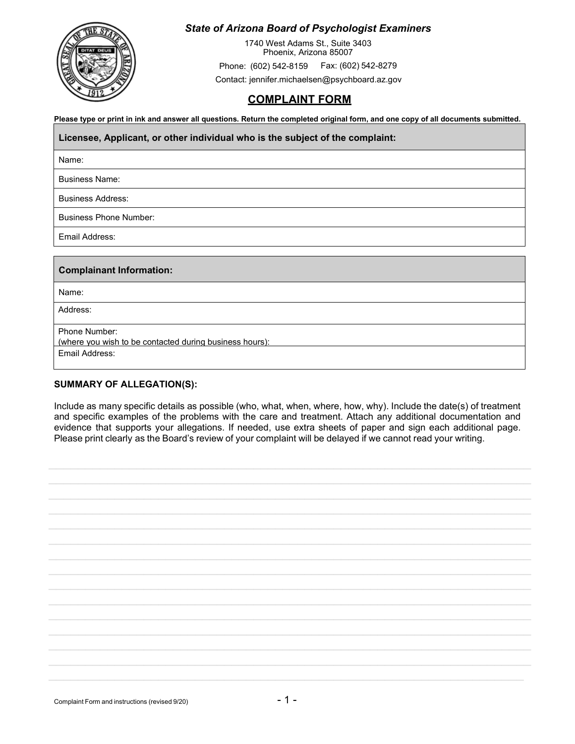

## *State of Arizona Board of Psychologist Examiners*

1740 West Adams St., Suite 3403 Phoenix, Arizona<sup>85007</sup> Phone: (602) 542-8159 Fax: (602) 542-8279 Contact[: jennifer.michaelsen@psychboard.az.gov](mailto:jennifer.michaelsen@psychboard.az.gov)

## **COMPLAINT FORM**

**Please type or print in ink and answer all questions. Return the completed original form, and one copy of all documents submitted.**

**Licensee, Applicant, or other individual who is the subject of the complaint:**

Name:

Business Name:

Business Address:

Business Phone Number:

Email Address:

#### **Complainant Information:**

Name:

Address:

Phone Number:

(where you wish to be contacted during business hours):

Email Address:

#### **SUMMARY OF ALLEGATION(S):**

Include as many specific details as possible (who, what, when, where, how, why). Include the date(s) of treatment and specific examples of the problems with the care and treatment. Attach any additional documentation and evidence that supports your allegations. If needed, use extra sheets of paper and sign each additional page. Please print clearly as the Board's review of your complaint will be delayed if we cannot read your writing.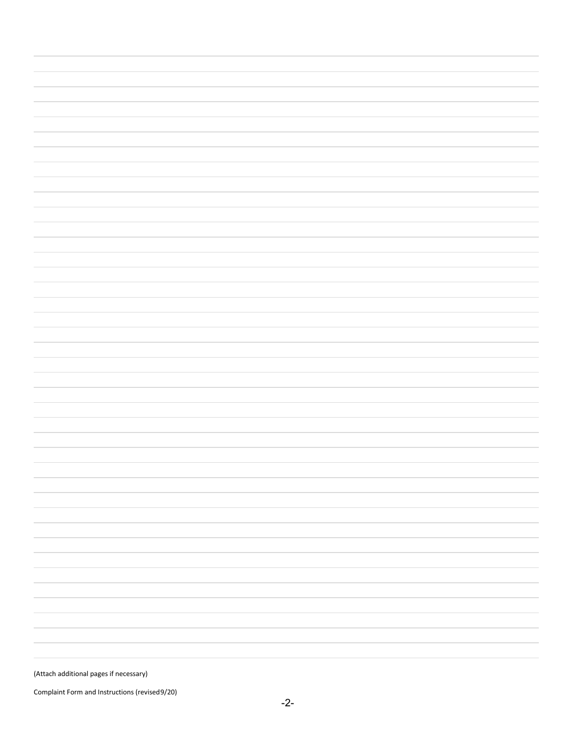(Attach additional pages if necessary)

Complaint Form and Instructions (revised 9/20)